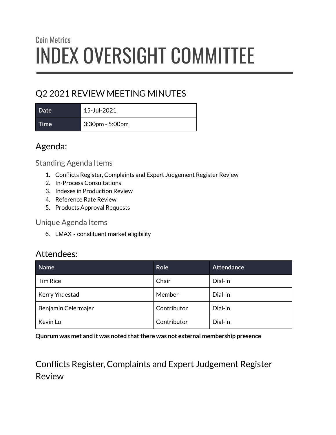# Coin Metrics INDEX OVERSIGHT COMMITTEE

## Q2 2021 REVIEW MEETING MINUTES

**Date** 15-Jul-2021 **Time** 3:30pm - 5:00pm

## Agenda:

Standing Agenda Items

- 1. Conflicts Register, Complaints and Expert Judgement Register Review
- 2. In-Process Consultations
- 3. Indexes in Production Review
- 4. Reference Rate Review
- 5. Products Approval Requests

Unique Agenda Items

6. LMAX - constituent market eligibility

#### Attendees:

| Name                | <b>Role</b> | <b>Attendance</b> |
|---------------------|-------------|-------------------|
| <b>Tim Rice</b>     | Chair       | Dial-in           |
| Kerry Yndestad      | Member      | Dial-in           |
| Benjamin Celermajer | Contributor | Dial-in           |
| Kevin Lu            | Contributor | Dial-in           |

**Quorum was met and it was noted thatthere was not external membership presence**

Conflicts Register, Complaints and Expert Judgement Register Review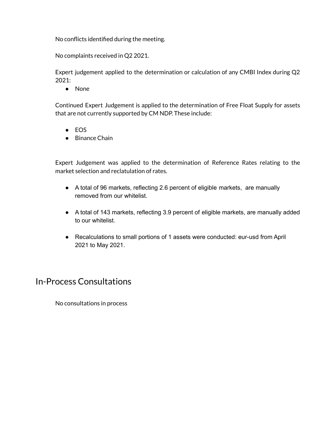No conflicts identified during the meeting.

No complaints received in Q2 2021.

Expert judgement applied to the determination or calculation of any CMBI Index during Q2  $2021:$ 

● None

Continued Expert Judgement is applied to the determination of Free Float Supply for assets that are not currently supported by CM NDP. These include:

- EOS
- Binance Chain

Expert Judgement was applied to the determination of Reference Rates relating to the market selection and reclatulation of rates.

- A total of 96 markets, reflecting 2.6 percent of eligible markets, are manually removed from our whitelist.
- A total of 143 markets, reflecting 3.9 percent of eligible markets, are manually added to our whitelist.
- Recalculations to small portions of 1 assets were conducted: eur-usd from April 2021 to May 2021.

#### In-Process Consultations

No consultations in process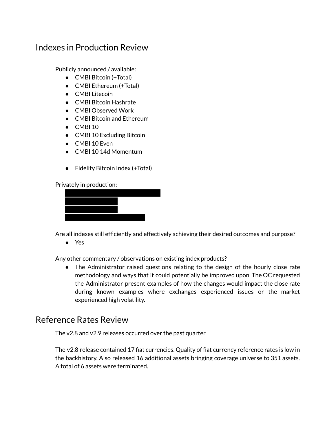#### Indexes in Production Review

Publicly announced / available:

- CMBI Bitcoin (+Total)
- CMBI Ethereum (+Total)
- CMBI Litecoin
- CMBI Bitcoin Hashrate
- CMBI Observed Work
- CMBI Bitcoin and Ethereum
- CMBI 10
- CMBI 10 Excluding Bitcoin
- CMBI 10 Even
- CMBI 10 14d Momentum
- Fidelity Bitcoin Index (+Total)

Privately in production:



Are all indexes still efficiently and effectively achieving their desired outcomes and purpose?

● Yes

Any other commentary / observations on existing index products?

• The Administrator raised questions relating to the design of the hourly close rate methodology and ways that it could potentially be improved upon. The OC requested the Administrator present examples of how the changes would impact the close rate during known examples where exchanges experienced issues or the market experienced high volatility.

#### Reference Rates Review

The v2.8 and v2.9 releases occurred over the past quarter.

The v2.8 release contained 17 fiat currencies. Quality of fiat currency reference rates is low in the backhistory. Also released 16 additional assets bringing coverage universe to 351 assets. A total of 6 assets were terminated.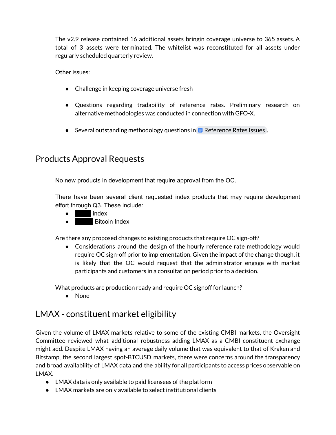The v2.9 release contained 16 additional assets bringin coverage universe to 365 assets. A total of 3 assets were terminated. The whitelist was reconstituted for all assets under regularly scheduled quarterly review.

Other issues:

- Challenge in keeping coverage universe fresh
- Questions regarding tradability of reference rates. Preliminary research on alternative methodologies was conducted in connection with GFO-X.
- Several outstanding methodology questions in  $\blacksquare$  [Reference](https://docs.google.com/document/d/1AiTud7ncgS_YTU2oyCbppDWcNx_IkN5Dq9h9SxLkfOo/edit) Rates Issues .

#### Products Approval Requests

No new products in development that require approval from the OC.

There have been several client requested index products that may require development effort through Q3. These include:

- $\bullet$   $\blacksquare$  index
- **Bitcoin Index**

Are there any proposed changes to existing products that require OC sign-off?

• Considerations around the design of the hourly reference rate methodology would require OC sign-off prior to implementation. Given the impact of the change though, it is likely that the OC would request that the administrator engage with market participants and customers in a consultation period prior to a decision.

What products are production ready and require OC signoff for launch?

● None

### LMAX - constituent market eligibility

Given the volume of LMAX markets relative to some of the existing CMBI markets, the Oversight Committee reviewed what additional robustness adding LMAX as a CMBI constituent exchange might add. Despite LMAX having an average daily volume that was equivalent to that of Kraken and Bitstamp, the second largest spot-BTCUSD markets, there were concerns around the transparency and broad availability of LMAX data and the ability for all participants to access prices observable on LMAX.

- LMAX data is only available to paid licensees of the platform
- LMAX markets are only available to select institutional clients